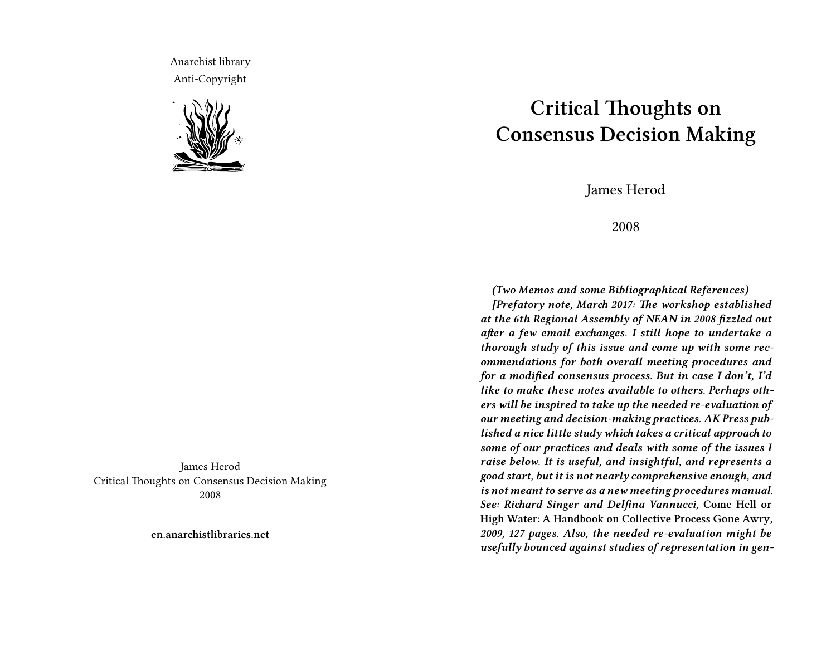Anarchist library Anti-Copyright



James Herod Critical Thoughts on Consensus Decision Making 2008

**en.anarchistlibraries.net**

## **Critical Thoughts on Consensus Decision Making**

James Herod

2008

*(Two Memos and some Bibliographical References)*

*[Prefatory note, March 2017: The workshop established at the 6th Regional Assembly of NEAN in 2008 fizzled out after a few email exchanges. I still hope to undertake a thorough study of this issue and come up with some recommendations for both overall meeting procedures and for a modified consensus process. But in case I don't, I'd like to make these notes available to others. Perhaps others will be inspired to take up the needed re-evaluation of our meeting and decision-making practices. AK Press published a nice little study which takes a critical approach to some of our practices and deals with some of the issues I raise below. It is useful, and insightful, and represents a good start, but it is not nearly comprehensive enough, and is not meant to serve as a new meeting procedures manual. See: Richard Singer and Delfina Vannucci,* **Come Hell or High Water: A Handbook on Collective Process Gone Awry***, 2009, 127 pages. Also, the needed re-evaluation might be usefully bounced against studies of representation in gen-*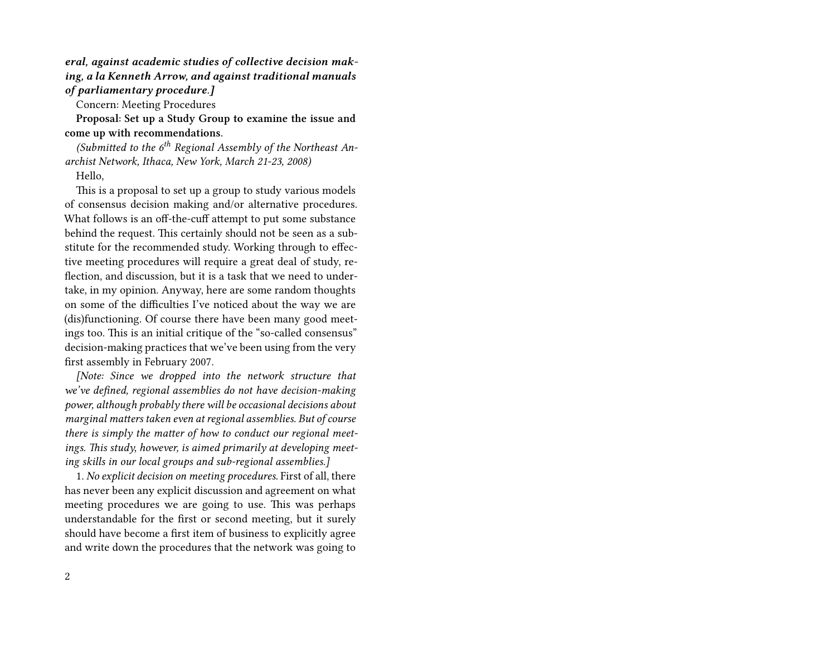*eral, against academic studies of collective decision making, a la Kenneth Arrow, and against traditional manuals of parliamentary procedure.]*

Concern: Meeting Procedures

**Proposal: Set up a Study Group to examine the issue and come up with recommendations.**

*(Submitted to the 6th Regional Assembly of the Northeast Anarchist Network, Ithaca, New York, March 21-23, 2008)*

## Hello,

This is a proposal to set up a group to study various models of consensus decision making and/or alternative procedures. What follows is an off-the-cuff attempt to put some substance behind the request. This certainly should not be seen as a substitute for the recommended study. Working through to effective meeting procedures will require a great deal of study, reflection, and discussion, but it is a task that we need to undertake, in my opinion. Anyway, here are some random thoughts on some of the difficulties I've noticed about the way we are (dis)functioning. Of course there have been many good meetings too. This is an initial critique of the "so-called consensus" decision-making practices that we've been using from the very first assembly in February 2007.

*[Note: Since we dropped into the network structure that we've defined, regional assemblies do not have decision-making power, although probably there will be occasional decisions about marginal matters taken even at regional assemblies. But of course there is simply the matter of how to conduct our regional meetings. This study, however, is aimed primarily at developing meeting skills in our local groups and sub-regional assemblies.]*

1. *No explicit decision on meeting procedures.* First of all, there has never been any explicit discussion and agreement on what meeting procedures we are going to use. This was perhaps understandable for the first or second meeting, but it surely should have become a first item of business to explicitly agree and write down the procedures that the network was going to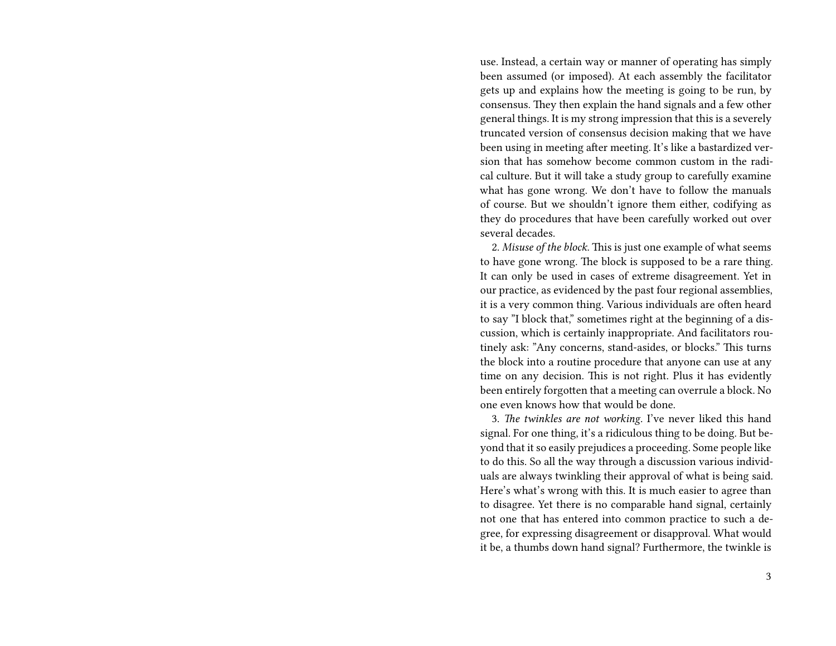use. Instead, a certain way or manner of operating has simply been assumed (or imposed). At each assembly the facilitator gets up and explains how the meeting is going to be run, by consensus. They then explain the hand signals and a few other general things. It is my strong impression that this is a severely truncated version of consensus decision making that we have been using in meeting after meeting. It's like a bastardized version that has somehow become common custom in the radical culture. But it will take a study group to carefully examine what has gone wrong. We don't have to follow the manuals of course. But we shouldn't ignore them either, codifying as they do procedures that have been carefully worked out over several decades.

2. *Misuse of the block.* This is just one example of what seems to have gone wrong. The block is supposed to be a rare thing. It can only be used in cases of extreme disagreement. Yet in our practice, as evidenced by the past four regional assemblies, it is a very common thing. Various individuals are often heard to say "I block that," sometimes right at the beginning of a discussion, which is certainly inappropriate. And facilitators routinely ask: "Any concerns, stand-asides, or blocks." This turns the block into a routine procedure that anyone can use at any time on any decision. This is not right. Plus it has evidently been entirely forgotten that a meeting can overrule a block. No one even knows how that would be done.

3. *The twinkles are not working.* I've never liked this hand signal. For one thing, it's a ridiculous thing to be doing. But beyond that it so easily prejudices a proceeding. Some people like to do this. So all the way through a discussion various individuals are always twinkling their approval of what is being said. Here's what's wrong with this. It is much easier to agree than to disagree. Yet there is no comparable hand signal, certainly not one that has entered into common practice to such a degree, for expressing disagreement or disapproval. What would it be, a thumbs down hand signal? Furthermore, the twinkle is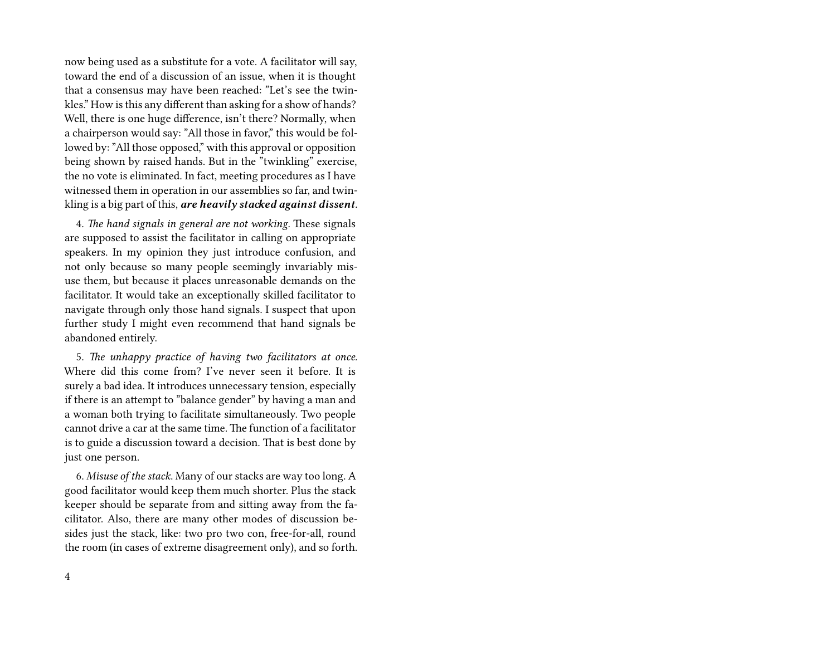now being used as a substitute for a vote. A facilitator will say, toward the end of a discussion of an issue, when it is thought that a consensus may have been reached: "Let's see the twinkles." How is this any different than asking for a show of hands? Well, there is one huge difference, isn't there? Normally, when a chairperson would say: "All those in favor," this would be followed by: "All those opposed," with this approval or opposition being shown by raised hands. But in the "twinkling" exercise, the no vote is eliminated. In fact, meeting procedures as I have witnessed them in operation in our assemblies so far, and twinkling is a big part of this, *are heavily stacked against dissent.*

4. *The hand signals in general are not working.* These signals are supposed to assist the facilitator in calling on appropriate speakers. In my opinion they just introduce confusion, and not only because so many people seemingly invariably misuse them, but because it places unreasonable demands on the facilitator. It would take an exceptionally skilled facilitator to navigate through only those hand signals. I suspect that upon further study I might even recommend that hand signals be abandoned entirely.

5. *The unhappy practice of having two facilitators at once.* Where did this come from? I've never seen it before. It is surely a bad idea. It introduces unnecessary tension, especially if there is an attempt to "balance gender" by having a man and a woman both trying to facilitate simultaneously. Two people cannot drive a car at the same time. The function of a facilitator is to guide a discussion toward a decision. That is best done by just one person.

6. *Misuse of the stack*. Many of our stacks are way too long. A good facilitator would keep them much shorter. Plus the stack keeper should be separate from and sitting away from the facilitator. Also, there are many other modes of discussion besides just the stack, like: two pro two con, free-for-all, round the room (in cases of extreme disagreement only), and so forth.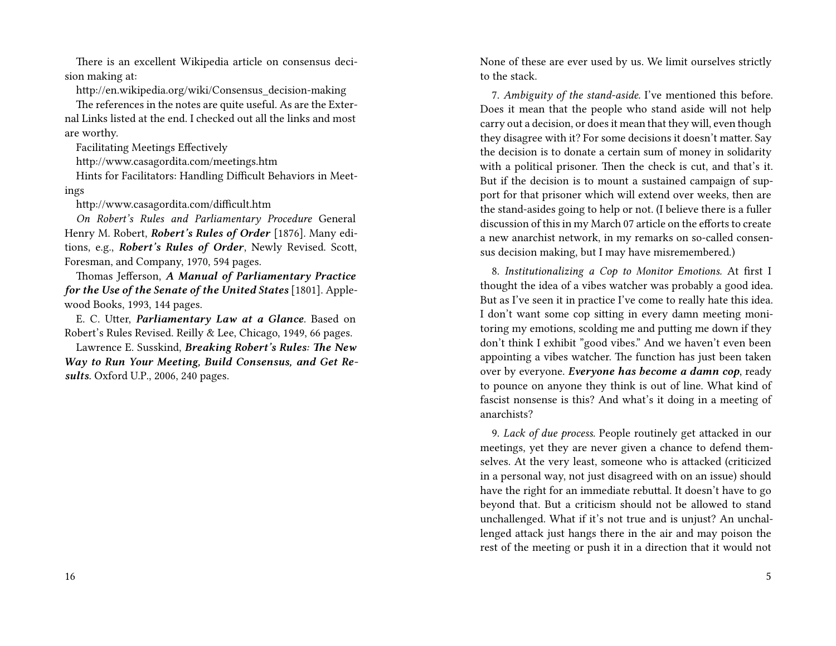There is an excellent Wikipedia article on consensus decision making at:

http://en.wikipedia.org/wiki/Consensus\_decision-making

The references in the notes are quite useful. As are the External Links listed at the end. I checked out all the links and most are worthy.

Facilitating Meetings Effectively

http://www.casagordita.com/meetings.htm

Hints for Facilitators: Handling Difficult Behaviors in Meetings

http://www.casagordita.com/difficult.htm

*On Robert's Rules and Parliamentary Procedure* General Henry M. Robert, *Robert's Rules of Order* [1876]. Many editions, e.g., *Robert's Rules of Order*, Newly Revised. Scott, Foresman, and Company, 1970, 594 pages.

Thomas Jefferson, *A Manual of Parliamentary Practice for the Use of the Senate of the United States* [1801]. Applewood Books, 1993, 144 pages.

E. C. Utter, *Parliamentary Law at a Glance*. Based on Robert's Rules Revised. Reilly & Lee, Chicago, 1949, 66 pages.

Lawrence E. Susskind, *Breaking Robert's Rules: The New Way to Run Your Meeting, Build Consensus, and Get Results.* Oxford U.P., 2006, 240 pages.

None of these are ever used by us. We limit ourselves strictly to the stack.

7. *Ambiguity of the stand-aside.* I've mentioned this before. Does it mean that the people who stand aside will not help carry out a decision, or does it mean that they will, even though they disagree with it? For some decisions it doesn't matter. Say the decision is to donate a certain sum of money in solidarity with a political prisoner. Then the check is cut, and that's it. But if the decision is to mount a sustained campaign of support for that prisoner which will extend over weeks, then are the stand-asides going to help or not. (I believe there is a fuller discussion of this in my March 07 article on the efforts to create a new anarchist network, in my remarks on so-called consensus decision making, but I may have misremembered.)

8. *Institutionalizing a Cop to Monitor Emotions.* At first I thought the idea of a vibes watcher was probably a good idea. But as I've seen it in practice I've come to really hate this idea. I don't want some cop sitting in every damn meeting monitoring my emotions, scolding me and putting me down if they don't think I exhibit "good vibes." And we haven't even been appointing a vibes watcher. The function has just been taken over by everyone. *Everyone has become a damn cop*, ready to pounce on anyone they think is out of line. What kind of fascist nonsense is this? And what's it doing in a meeting of anarchists?

9. *Lack of due process.* People routinely get attacked in our meetings, yet they are never given a chance to defend themselves. At the very least, someone who is attacked (criticized in a personal way, not just disagreed with on an issue) should have the right for an immediate rebuttal. It doesn't have to go beyond that. But a criticism should not be allowed to stand unchallenged. What if it's not true and is unjust? An unchallenged attack just hangs there in the air and may poison the rest of the meeting or push it in a direction that it would not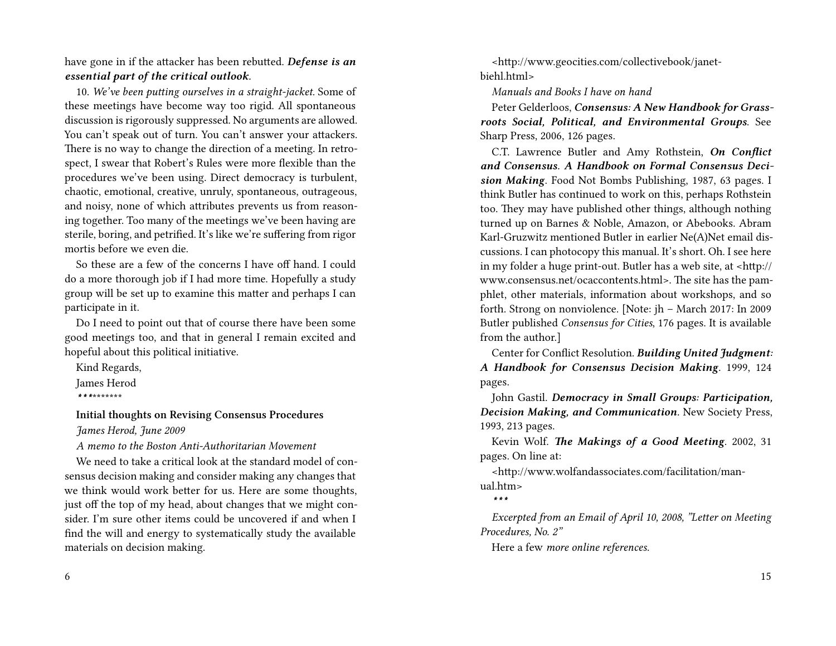have gone in if the attacker has been rebutted. *Defense is an essential part of the critical outlook.*

10. *We've been putting ourselves in a straight-jacket.* Some of these meetings have become way too rigid. All spontaneous discussion is rigorously suppressed. No arguments are allowed. You can't speak out of turn. You can't answer your attackers. There is no way to change the direction of a meeting. In retrospect, I swear that Robert's Rules were more flexible than the procedures we've been using. Direct democracy is turbulent, chaotic, emotional, creative, unruly, spontaneous, outrageous, and noisy, none of which attributes prevents us from reasoning together. Too many of the meetings we've been having are sterile, boring, and petrified. It's like we're suffering from rigor mortis before we even die.

So these are a few of the concerns I have off hand. I could do a more thorough job if I had more time. Hopefully a study group will be set up to examine this matter and perhaps I can participate in it.

Do I need to point out that of course there have been some good meetings too, and that in general I remain excited and hopeful about this political initiative.

Kind Regards, James Herod *\*\*\**\*\*\*\*\*\*\*

## **Initial thoughts on Revising Consensus Procedures** *James Herod, June 2009*

*A memo to the Boston Anti-Authoritarian Movement*

We need to take a critical look at the standard model of consensus decision making and consider making any changes that we think would work better for us. Here are some thoughts, just off the top of my head, about changes that we might consider. I'm sure other items could be uncovered if and when I find the will and energy to systematically study the available materials on decision making.

6

<http://www.geocities.com/collectivebook/janetbiehl.html>

*Manuals and Books I have on hand*

Peter Gelderloos, *Consensus: A New Handbook for Grassroots Social, Political, and Environmental Groups*. See Sharp Press, 2006, 126 pages.

C.T. Lawrence Butler and Amy Rothstein, *On Conflict and Consensus. A Handbook on Formal Consensus Decision Making*. Food Not Bombs Publishing, 1987, 63 pages. I think Butler has continued to work on this, perhaps Rothstein too. They may have published other things, although nothing turned up on Barnes & Noble, Amazon, or Abebooks. Abram Karl-Gruzwitz mentioned Butler in earlier Ne(A)Net email discussions. I can photocopy this manual. It's short. Oh. I see here in my folder a huge print-out. Butler has a web site, at <http:// www.consensus.net/ocaccontents.html>. The site has the pamphlet, other materials, information about workshops, and so forth. Strong on nonviolence. [Note: jh – March 2017: In 2009 Butler published *Consensus for Cities*, 176 pages. It is available from the author.]

Center for Conflict Resolution. *Building United Judgment: A Handbook for Consensus Decision Making*. 1999, 124 pages.

John Gastil. *Democracy in Small Groups: Participation, Decision Making, and Communication.* New Society Press, 1993, 213 pages.

Kevin Wolf. *The Makings of a Good Meeting*. 2002, 31 pages. On line at:

<http://www.wolfandassociates.com/facilitation/manual.htm>

*\*\*\**

*Excerpted from an Email of April 10, 2008, "Letter on Meeting Procedures, No. 2"*

Here a few *more online references.*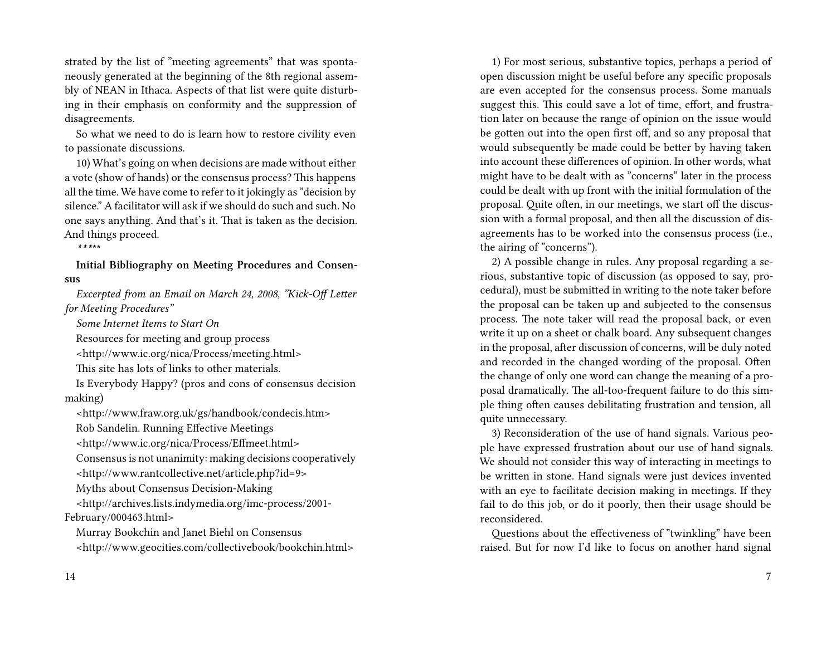strated by the list of "meeting agreements" that was spontaneously generated at the beginning of the 8th regional assembly of NEAN in Ithaca. Aspects of that list were quite disturbing in their emphasis on conformity and the suppression of disagreements.

So what we need to do is learn how to restore civility even to passionate discussions.

10) What's going on when decisions are made without either a vote (show of hands) or the consensus process? This happens all the time. We have come to refer to it jokingly as "decision by silence." A facilitator will ask if we should do such and such. No one says anything. And that's it. That is taken as the decision. And things proceed.

*\*\*\**\*\*

**Initial Bibliography on Meeting Procedures and Consensus**

*Excerpted from an Email on March 24, 2008, "Kick-Off Letter for Meeting Procedures"*

*Some Internet Items to Start On*

Resources for meeting and group process

<http://www.ic.org/nica/Process/meeting.html>

This site has lots of links to other materials.

Is Everybody Happy? (pros and cons of consensus decision making)

<http://www.fraw.org.uk/gs/handbook/condecis.htm>

Rob Sandelin. Running Effective Meetings

<http://www.ic.org/nica/Process/Effmeet.html>

Consensus is not unanimity: making decisions cooperatively

<http://www.rantcollective.net/article.php?id=9>

Myths about Consensus Decision-Making

<http://archives.lists.indymedia.org/imc-process/2001- February/000463.html>

Murray Bookchin and Janet Biehl on Consensus <http://www.geocities.com/collectivebook/bookchin.html>

1) For most serious, substantive topics, perhaps a period of open discussion might be useful before any specific proposals are even accepted for the consensus process. Some manuals suggest this. This could save a lot of time, effort, and frustration later on because the range of opinion on the issue would be gotten out into the open first off, and so any proposal that would subsequently be made could be better by having taken into account these differences of opinion. In other words, what might have to be dealt with as "concerns" later in the process could be dealt with up front with the initial formulation of the proposal. Quite often, in our meetings, we start off the discussion with a formal proposal, and then all the discussion of disagreements has to be worked into the consensus process (i.e., the airing of "concerns").

2) A possible change in rules. Any proposal regarding a serious, substantive topic of discussion (as opposed to say, procedural), must be submitted in writing to the note taker before the proposal can be taken up and subjected to the consensus process. The note taker will read the proposal back, or even write it up on a sheet or chalk board. Any subsequent changes in the proposal, after discussion of concerns, will be duly noted and recorded in the changed wording of the proposal. Often the change of only one word can change the meaning of a proposal dramatically. The all-too-frequent failure to do this simple thing often causes debilitating frustration and tension, all quite unnecessary.

3) Reconsideration of the use of hand signals. Various people have expressed frustration about our use of hand signals. We should not consider this way of interacting in meetings to be written in stone. Hand signals were just devices invented with an eye to facilitate decision making in meetings. If they fail to do this job, or do it poorly, then their usage should be reconsidered.

Questions about the effectiveness of "twinkling" have been raised. But for now I'd like to focus on another hand signal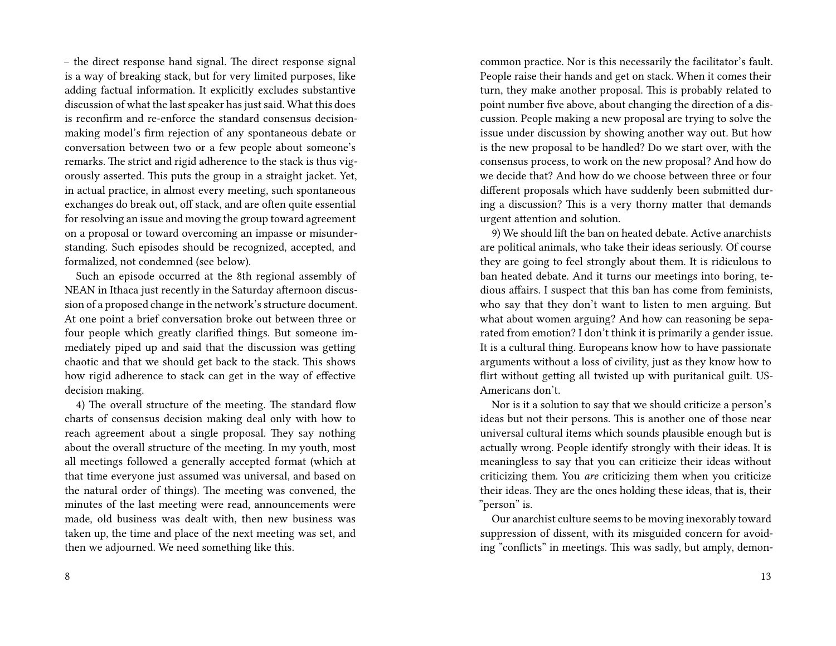– the direct response hand signal. The direct response signal is a way of breaking stack, but for very limited purposes, like adding factual information. It explicitly excludes substantive discussion of what the last speaker has just said. What this does is reconfirm and re-enforce the standard consensus decisionmaking model's firm rejection of any spontaneous debate or conversation between two or a few people about someone's remarks. The strict and rigid adherence to the stack is thus vigorously asserted. This puts the group in a straight jacket. Yet, in actual practice, in almost every meeting, such spontaneous exchanges do break out, off stack, and are often quite essential for resolving an issue and moving the group toward agreement on a proposal or toward overcoming an impasse or misunderstanding. Such episodes should be recognized, accepted, and formalized, not condemned (see below).

Such an episode occurred at the 8th regional assembly of NEAN in Ithaca just recently in the Saturday afternoon discussion of a proposed change in the network's structure document. At one point a brief conversation broke out between three or four people which greatly clarified things. But someone immediately piped up and said that the discussion was getting chaotic and that we should get back to the stack. This shows how rigid adherence to stack can get in the way of effective decision making.

4) The overall structure of the meeting. The standard flow charts of consensus decision making deal only with how to reach agreement about a single proposal. They say nothing about the overall structure of the meeting. In my youth, most all meetings followed a generally accepted format (which at that time everyone just assumed was universal, and based on the natural order of things). The meeting was convened, the minutes of the last meeting were read, announcements were made, old business was dealt with, then new business was taken up, the time and place of the next meeting was set, and then we adjourned. We need something like this.

8

common practice. Nor is this necessarily the facilitator's fault. People raise their hands and get on stack. When it comes their turn, they make another proposal. This is probably related to point number five above, about changing the direction of a discussion. People making a new proposal are trying to solve the issue under discussion by showing another way out. But how is the new proposal to be handled? Do we start over, with the consensus process, to work on the new proposal? And how do we decide that? And how do we choose between three or four different proposals which have suddenly been submitted during a discussion? This is a very thorny matter that demands urgent attention and solution.

9) We should lift the ban on heated debate. Active anarchists are political animals, who take their ideas seriously. Of course they are going to feel strongly about them. It is ridiculous to ban heated debate. And it turns our meetings into boring, tedious affairs. I suspect that this ban has come from feminists, who say that they don't want to listen to men arguing. But what about women arguing? And how can reasoning be separated from emotion? I don't think it is primarily a gender issue. It is a cultural thing. Europeans know how to have passionate arguments without a loss of civility, just as they know how to flirt without getting all twisted up with puritanical guilt. US-Americans don't.

Nor is it a solution to say that we should criticize a person's ideas but not their persons. This is another one of those near universal cultural items which sounds plausible enough but is actually wrong. People identify strongly with their ideas. It is meaningless to say that you can criticize their ideas without criticizing them. You *are* criticizing them when you criticize their ideas. They are the ones holding these ideas, that is, their "person" is.

Our anarchist culture seems to be moving inexorably toward suppression of dissent, with its misguided concern for avoiding "conflicts" in meetings. This was sadly, but amply, demon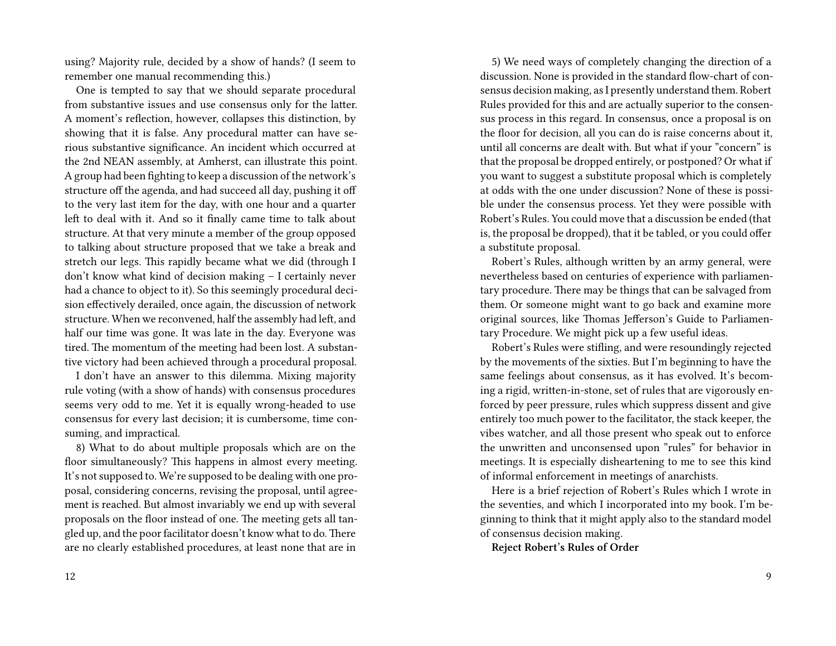using? Majority rule, decided by a show of hands? (I seem to remember one manual recommending this.)

One is tempted to say that we should separate procedural from substantive issues and use consensus only for the latter. A moment's reflection, however, collapses this distinction, by showing that it is false. Any procedural matter can have serious substantive significance. An incident which occurred at the 2nd NEAN assembly, at Amherst, can illustrate this point. A group had been fighting to keep a discussion of the network's structure off the agenda, and had succeed all day, pushing it off to the very last item for the day, with one hour and a quarter left to deal with it. And so it finally came time to talk about structure. At that very minute a member of the group opposed to talking about structure proposed that we take a break and stretch our legs. This rapidly became what we did (through I don't know what kind of decision making – I certainly never had a chance to object to it). So this seemingly procedural decision effectively derailed, once again, the discussion of network structure. When we reconvened, half the assembly had left, and half our time was gone. It was late in the day. Everyone was tired. The momentum of the meeting had been lost. A substantive victory had been achieved through a procedural proposal.

I don't have an answer to this dilemma. Mixing majority rule voting (with a show of hands) with consensus procedures seems very odd to me. Yet it is equally wrong-headed to use consensus for every last decision; it is cumbersome, time consuming, and impractical.

8) What to do about multiple proposals which are on the floor simultaneously? This happens in almost every meeting. It's not supposed to. We're supposed to be dealing with one proposal, considering concerns, revising the proposal, until agreement is reached. But almost invariably we end up with several proposals on the floor instead of one. The meeting gets all tangled up, and the poor facilitator doesn't know what to do.There are no clearly established procedures, at least none that are in

5) We need ways of completely changing the direction of a discussion. None is provided in the standard flow-chart of consensus decision making, as I presently understand them. Robert Rules provided for this and are actually superior to the consensus process in this regard. In consensus, once a proposal is on the floor for decision, all you can do is raise concerns about it, until all concerns are dealt with. But what if your "concern" is that the proposal be dropped entirely, or postponed? Or what if you want to suggest a substitute proposal which is completely at odds with the one under discussion? None of these is possible under the consensus process. Yet they were possible with Robert's Rules. You could move that a discussion be ended (that is, the proposal be dropped), that it be tabled, or you could offer a substitute proposal.

Robert's Rules, although written by an army general, were nevertheless based on centuries of experience with parliamentary procedure. There may be things that can be salvaged from them. Or someone might want to go back and examine more original sources, like Thomas Jefferson's Guide to Parliamentary Procedure. We might pick up a few useful ideas.

Robert's Rules were stifling, and were resoundingly rejected by the movements of the sixties. But I'm beginning to have the same feelings about consensus, as it has evolved. It's becoming a rigid, written-in-stone, set of rules that are vigorously enforced by peer pressure, rules which suppress dissent and give entirely too much power to the facilitator, the stack keeper, the vibes watcher, and all those present who speak out to enforce the unwritten and unconsensed upon "rules" for behavior in meetings. It is especially disheartening to me to see this kind of informal enforcement in meetings of anarchists.

Here is a brief rejection of Robert's Rules which I wrote in the seventies, and which I incorporated into my book. I'm beginning to think that it might apply also to the standard model of consensus decision making.

**Reject Robert's Rules of Order**